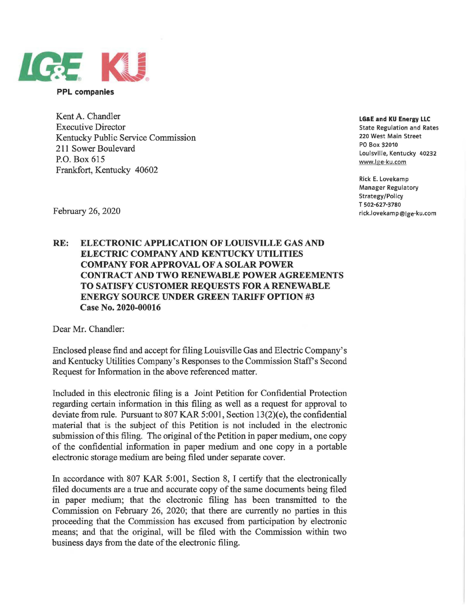

**PPL companies** 

Kent A. Chandler Executive Director Kentucky Public Service Commission 211 Sower Boulevard P.O. Box 615 Frankfort, Kentucky 40602

**LG&E and KU Energy LLC** 

State Regulation and Rates 220 West Main Street PO Box 32010 Louisville, Kentucky 40232 www.lge-ku.com

Rick E. Lovekamp Manager Regulatory Strategy/Policy T 502-627-3780 rick.lovekamp@lge-ku.com

February 26, 2020

## **RE: ELECTRONIC APPLICATION OF LOUISVILLE GAS AND ELECTRIC COMPANY AND KENTUCKY UTILITIES COMPANY FOR APPROVAL OF A SOLAR POWER CONTRACT AND TWO RENEWABLE POWER AGREEMENTS TO SATISFY CUSTOMER REQUESTS FOR A RENEWABLE ENERGY SOURCE UNDER GREEN TARIFF OPTION #3 Case No. 2020-00016**

Dear Mr. Chandler:

Enclosed please find and accept for filing Louisville Gas and Electric Company's and Kentucky Utilities Company's Responses to the Commission Staff's Second Request for Information in the above referenced matter.

Included in this electronic filing is a Joint Petition for Confidential Protection regarding certain information in this filing as well as a request for approval to deviate from rule. Pursuant to 807 KAR 5:001, Section 13(2)(e), the confidential material that is the subject of this Petition is not included in the electronic submission of this filing. The original of the Petition in paper medium, one copy of the confidential information in paper medium and one copy in a portable electronic storage medium are being filed under separate cover.

In accordance with 807 KAR 5:001, Section 8, I certify that the electronically filed documents are a true and accurate copy of the same documents being filed in paper medium; that the electronic filing has been transmitted to the Commission on February 26, 2020; that there are currently no parties in this proceeding that the Commission has excused from participation by electronic means; and that the original, will be filed with the Commission within two business days from the date of the electronic filing.